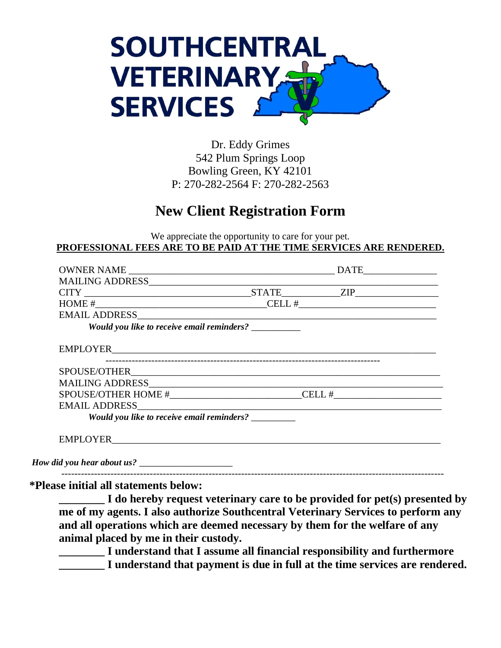

Dr. Eddy Grimes 542 Plum Springs Loop Bowling Green, KY 42101 P: 270-282-2564 F: 270-282-2563

## **New Client Registration Form**

We appreciate the opportunity to care for your pet. **PROFESSIONAL FEES ARE TO BE PAID AT THE TIME SERVICES ARE RENDERED.**

| Would you like to receive email reminders? |                                                                            |
|--------------------------------------------|----------------------------------------------------------------------------|
|                                            |                                                                            |
|                                            |                                                                            |
|                                            |                                                                            |
|                                            |                                                                            |
|                                            |                                                                            |
| Would you like to receive email reminders? |                                                                            |
|                                            |                                                                            |
|                                            |                                                                            |
|                                            |                                                                            |
| *Please initial all statements below:      | I do hereby request veterinary care to be provided for pet(s) presented by |

**animal placed by me in their custody.**

**\_\_\_\_\_\_\_\_ I understand that I assume all financial responsibility and furthermore \_\_\_\_\_\_\_\_ I understand that payment is due in full at the time services are rendered.**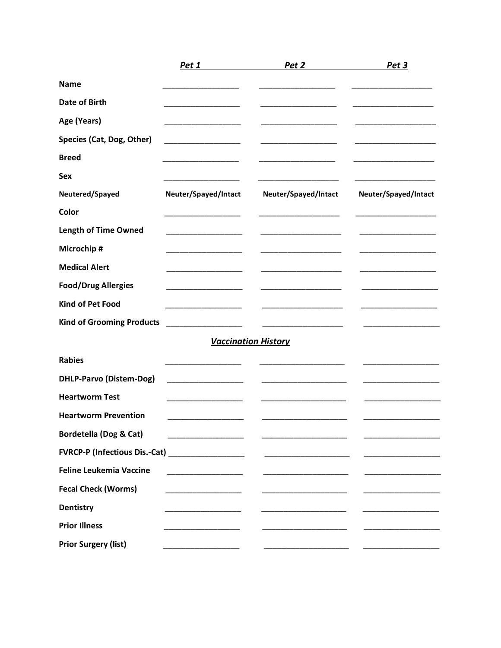|                                   | Pet 1                                                                                                                 | Pet 2                | <u>Pet 3</u>         |
|-----------------------------------|-----------------------------------------------------------------------------------------------------------------------|----------------------|----------------------|
| <b>Name</b>                       |                                                                                                                       |                      |                      |
| <b>Date of Birth</b>              |                                                                                                                       |                      |                      |
| Age (Years)                       |                                                                                                                       |                      |                      |
| Species (Cat, Dog, Other)         |                                                                                                                       |                      |                      |
| <b>Breed</b>                      |                                                                                                                       |                      |                      |
| Sex                               |                                                                                                                       |                      |                      |
| Neutered/Spayed                   | Neuter/Spayed/Intact                                                                                                  | Neuter/Spayed/Intact | Neuter/Spayed/Intact |
| Color                             |                                                                                                                       |                      |                      |
| <b>Length of Time Owned</b>       |                                                                                                                       |                      |                      |
| Microchip#                        |                                                                                                                       |                      |                      |
| <b>Medical Alert</b>              |                                                                                                                       |                      |                      |
| <b>Food/Drug Allergies</b>        |                                                                                                                       |                      |                      |
| <b>Kind of Pet Food</b>           |                                                                                                                       |                      |                      |
| <b>Kind of Grooming Products</b>  |                                                                                                                       |                      |                      |
|                                   | <b>Vaccination History</b>                                                                                            |                      |                      |
| <b>Rabies</b>                     |                                                                                                                       |                      |                      |
| <b>DHLP-Parvo (Distem-Dog)</b>    |                                                                                                                       |                      |                      |
| <b>Heartworm Test</b>             |                                                                                                                       |                      |                      |
| <b>Heartworm Prevention</b>       |                                                                                                                       |                      |                      |
| <b>Bordetella (Dog &amp; Cat)</b> | _______________                                                                                                       |                      |                      |
|                                   |                                                                                                                       |                      |                      |
| <b>Feline Leukemia Vaccine</b>    |                                                                                                                       |                      |                      |
| <b>Fecal Check (Worms)</b>        | <u> 1990 - Johann Barn, mars and de Branch Barn, mars and de Branch Barn, mars and de Branch Barn, mars and de Br</u> |                      |                      |
| <b>Dentistry</b>                  |                                                                                                                       |                      |                      |
| <b>Prior Illness</b>              |                                                                                                                       |                      |                      |
| <b>Prior Surgery (list)</b>       |                                                                                                                       |                      |                      |
|                                   |                                                                                                                       |                      |                      |